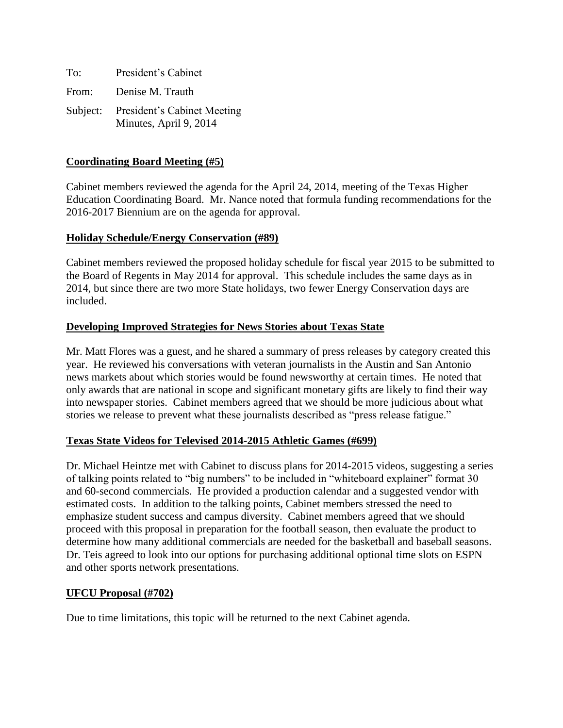| To:   | President's Cabinet                                            |
|-------|----------------------------------------------------------------|
| From: | Denise M. Trauth                                               |
|       | Subject: President's Cabinet Meeting<br>Minutes, April 9, 2014 |

## **Coordinating Board Meeting (#5)**

Cabinet members reviewed the agenda for the April 24, 2014, meeting of the Texas Higher Education Coordinating Board. Mr. Nance noted that formula funding recommendations for the 2016-2017 Biennium are on the agenda for approval.

## **Holiday Schedule/Energy Conservation (#89)**

Cabinet members reviewed the proposed holiday schedule for fiscal year 2015 to be submitted to the Board of Regents in May 2014 for approval. This schedule includes the same days as in 2014, but since there are two more State holidays, two fewer Energy Conservation days are included.

## **Developing Improved Strategies for News Stories about Texas State**

Mr. Matt Flores was a guest, and he shared a summary of press releases by category created this year. He reviewed his conversations with veteran journalists in the Austin and San Antonio news markets about which stories would be found newsworthy at certain times. He noted that only awards that are national in scope and significant monetary gifts are likely to find their way into newspaper stories. Cabinet members agreed that we should be more judicious about what stories we release to prevent what these journalists described as "press release fatigue."

## **Texas State Videos for Televised 2014-2015 Athletic Games (#699)**

Dr. Michael Heintze met with Cabinet to discuss plans for 2014-2015 videos, suggesting a series of talking points related to "big numbers" to be included in "whiteboard explainer" format 30 and 60-second commercials. He provided a production calendar and a suggested vendor with estimated costs. In addition to the talking points, Cabinet members stressed the need to emphasize student success and campus diversity. Cabinet members agreed that we should proceed with this proposal in preparation for the football season, then evaluate the product to determine how many additional commercials are needed for the basketball and baseball seasons. Dr. Teis agreed to look into our options for purchasing additional optional time slots on ESPN and other sports network presentations.

#### **UFCU Proposal (#702)**

Due to time limitations, this topic will be returned to the next Cabinet agenda.